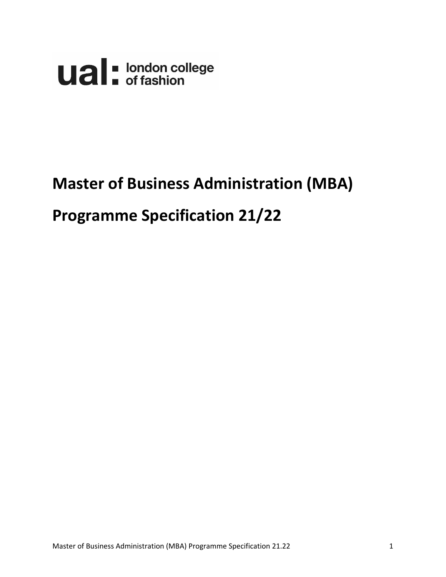

# **Master of Business Administration (MBA)**

# **Programme Specification 21/22**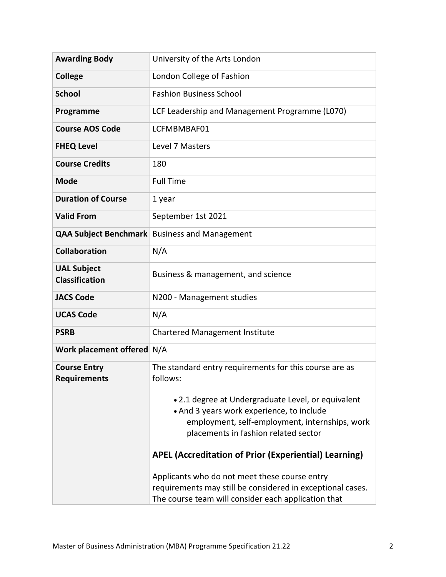| <b>Awarding Body</b>                        | University of the Arts London                                                                                                                                                             |  |  |
|---------------------------------------------|-------------------------------------------------------------------------------------------------------------------------------------------------------------------------------------------|--|--|
| <b>College</b>                              | London College of Fashion                                                                                                                                                                 |  |  |
| <b>School</b>                               | <b>Fashion Business School</b>                                                                                                                                                            |  |  |
| Programme                                   | LCF Leadership and Management Programme (L070)                                                                                                                                            |  |  |
| <b>Course AOS Code</b>                      | LCFMBMBAF01                                                                                                                                                                               |  |  |
| <b>FHEQ Level</b>                           | Level 7 Masters                                                                                                                                                                           |  |  |
| <b>Course Credits</b>                       | 180                                                                                                                                                                                       |  |  |
| <b>Mode</b>                                 | <b>Full Time</b>                                                                                                                                                                          |  |  |
| <b>Duration of Course</b>                   | 1 year                                                                                                                                                                                    |  |  |
| <b>Valid From</b>                           | September 1st 2021                                                                                                                                                                        |  |  |
|                                             | <b>QAA Subject Benchmark</b> Business and Management                                                                                                                                      |  |  |
| <b>Collaboration</b>                        | N/A                                                                                                                                                                                       |  |  |
| <b>UAL Subject</b><br><b>Classification</b> | Business & management, and science                                                                                                                                                        |  |  |
| <b>JACS Code</b>                            | N200 - Management studies                                                                                                                                                                 |  |  |
| <b>UCAS Code</b>                            | N/A                                                                                                                                                                                       |  |  |
| <b>PSRB</b>                                 | <b>Chartered Management Institute</b>                                                                                                                                                     |  |  |
| Work placement offered N/A                  |                                                                                                                                                                                           |  |  |
| <b>Course Entry</b><br><b>Requirements</b>  | The standard entry requirements for this course are as<br>follows:                                                                                                                        |  |  |
|                                             | • 2.1 degree at Undergraduate Level, or equivalent<br>• And 3 years work experience, to include<br>employment, self-employment, internships, work<br>placements in fashion related sector |  |  |
|                                             | <b>APEL (Accreditation of Prior (Experiential) Learning)</b>                                                                                                                              |  |  |
|                                             | Applicants who do not meet these course entry<br>requirements may still be considered in exceptional cases.<br>The course team will consider each application that                        |  |  |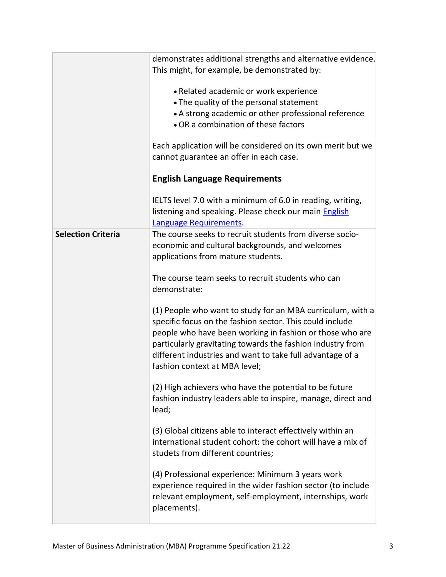|                           | demonstrates additional strengths and alternative evidence.<br>This might, for example, be demonstrated by:<br>• Related academic or work experience<br>• The quality of the personal statement                                                                                                                                                |  |
|---------------------------|------------------------------------------------------------------------------------------------------------------------------------------------------------------------------------------------------------------------------------------------------------------------------------------------------------------------------------------------|--|
|                           | • A strong academic or other professional reference<br>• OR a combination of these factors                                                                                                                                                                                                                                                     |  |
|                           | Each application will be considered on its own merit but we<br>cannot guarantee an offer in each case.                                                                                                                                                                                                                                         |  |
|                           | <b>English Language Requirements</b>                                                                                                                                                                                                                                                                                                           |  |
|                           | IELTS level 7.0 with a minimum of 6.0 in reading, writing,<br>listening and speaking. Please check our main English<br>Language Requirements.                                                                                                                                                                                                  |  |
| <b>Selection Criteria</b> | The course seeks to recruit students from diverse socio-<br>economic and cultural backgrounds, and welcomes<br>applications from mature students.                                                                                                                                                                                              |  |
|                           | The course team seeks to recruit students who can<br>demonstrate:                                                                                                                                                                                                                                                                              |  |
|                           | (1) People who want to study for an MBA curriculum, with a<br>specific focus on the fashion sector. This could include<br>people who have been working in fashion or those who are<br>particularly gravitating towards the fashion industry from<br>different industries and want to take full advantage of a<br>fashion context at MBA level; |  |
|                           | (2) High achievers who have the potential to be future<br>fashion industry leaders able to inspire, manage, direct and<br>lead;                                                                                                                                                                                                                |  |
|                           | (3) Global citizens able to interact effectively within an<br>international student cohort: the cohort will have a mix of<br>studets from different countries;                                                                                                                                                                                 |  |
|                           | (4) Professional experience: Minimum 3 years work<br>experience required in the wider fashion sector (to include<br>relevant employment, self-employment, internships, work<br>placements).                                                                                                                                                    |  |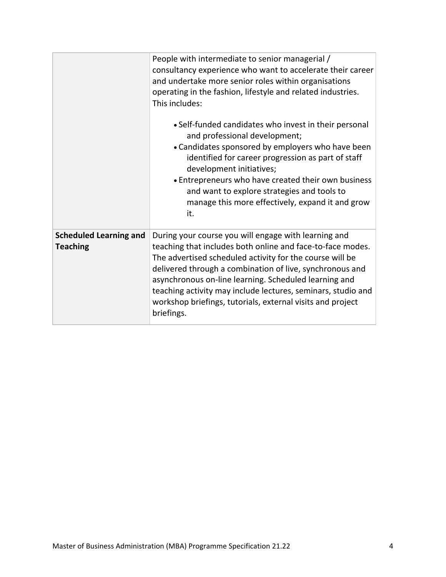|                                                  | People with intermediate to senior managerial /<br>consultancy experience who want to accelerate their career                                                                                                                                                                                                                                                                                                                                   |
|--------------------------------------------------|-------------------------------------------------------------------------------------------------------------------------------------------------------------------------------------------------------------------------------------------------------------------------------------------------------------------------------------------------------------------------------------------------------------------------------------------------|
|                                                  | and undertake more senior roles within organisations<br>operating in the fashion, lifestyle and related industries.<br>This includes:                                                                                                                                                                                                                                                                                                           |
|                                                  | • Self-funded candidates who invest in their personal<br>and professional development;<br>• Candidates sponsored by employers who have been<br>identified for career progression as part of staff<br>development initiatives;<br>• Entrepreneurs who have created their own business<br>and want to explore strategies and tools to<br>manage this more effectively, expand it and grow<br>it.                                                  |
| <b>Scheduled Learning and</b><br><b>Teaching</b> | During your course you will engage with learning and<br>teaching that includes both online and face-to-face modes.<br>The advertised scheduled activity for the course will be<br>delivered through a combination of live, synchronous and<br>asynchronous on-line learning. Scheduled learning and<br>teaching activity may include lectures, seminars, studio and<br>workshop briefings, tutorials, external visits and project<br>briefings. |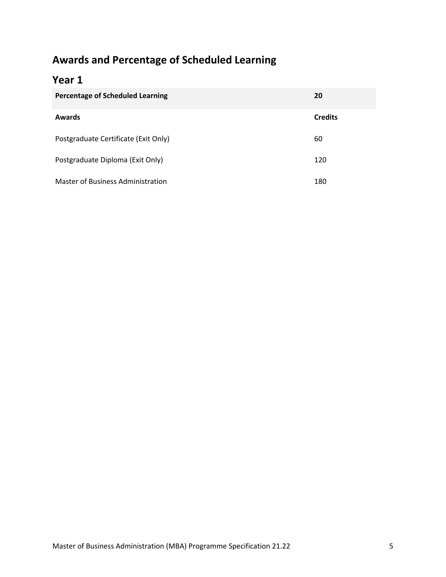## **Awards and Percentage of Scheduled Learning**

## **Year 1**

| <b>Percentage of Scheduled Learning</b> | 20             |
|-----------------------------------------|----------------|
| Awards                                  | <b>Credits</b> |
| Postgraduate Certificate (Exit Only)    | 60             |
| Postgraduate Diploma (Exit Only)        | 120            |
| Master of Business Administration       | 180            |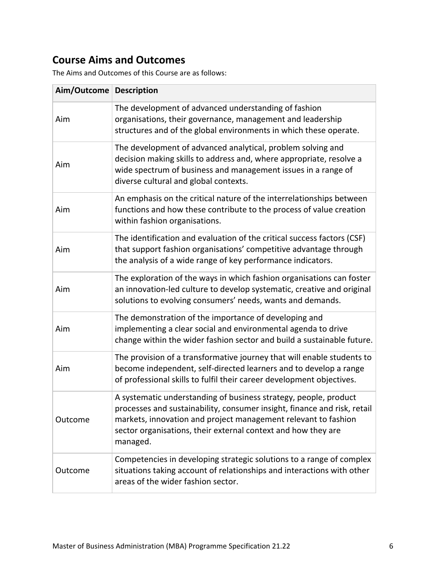## **Course Aims and Outcomes**

The Aims and Outcomes of this Course are as follows:

| Aim/Outcome Description |                                                                                                                                                                                                                                                                                             |  |
|-------------------------|---------------------------------------------------------------------------------------------------------------------------------------------------------------------------------------------------------------------------------------------------------------------------------------------|--|
| Aim                     | The development of advanced understanding of fashion<br>organisations, their governance, management and leadership<br>structures and of the global environments in which these operate.                                                                                                     |  |
| Aim                     | The development of advanced analytical, problem solving and<br>decision making skills to address and, where appropriate, resolve a<br>wide spectrum of business and management issues in a range of<br>diverse cultural and global contexts.                                                |  |
| Aim                     | An emphasis on the critical nature of the interrelationships between<br>functions and how these contribute to the process of value creation<br>within fashion organisations.                                                                                                                |  |
| Aim                     | The identification and evaluation of the critical success factors (CSF)<br>that support fashion organisations' competitive advantage through<br>the analysis of a wide range of key performance indicators.                                                                                 |  |
| Aim                     | The exploration of the ways in which fashion organisations can foster<br>an innovation-led culture to develop systematic, creative and original<br>solutions to evolving consumers' needs, wants and demands.                                                                               |  |
| Aim                     | The demonstration of the importance of developing and<br>implementing a clear social and environmental agenda to drive<br>change within the wider fashion sector and build a sustainable future.                                                                                            |  |
| Aim                     | The provision of a transformative journey that will enable students to<br>become independent, self-directed learners and to develop a range<br>of professional skills to fulfil their career development objectives.                                                                        |  |
| Outcome                 | A systematic understanding of business strategy, people, product<br>processes and sustainability, consumer insight, finance and risk, retail<br>markets, innovation and project management relevant to fashion<br>sector organisations, their external context and how they are<br>managed. |  |
| Outcome                 | Competencies in developing strategic solutions to a range of complex<br>situations taking account of relationships and interactions with other<br>areas of the wider fashion sector.                                                                                                        |  |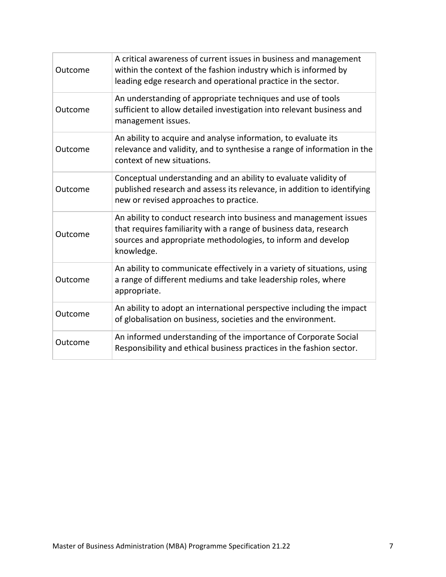| Outcome | A critical awareness of current issues in business and management<br>within the context of the fashion industry which is informed by<br>leading edge research and operational practice in the sector.                 |  |
|---------|-----------------------------------------------------------------------------------------------------------------------------------------------------------------------------------------------------------------------|--|
| Outcome | An understanding of appropriate techniques and use of tools<br>sufficient to allow detailed investigation into relevant business and<br>management issues.                                                            |  |
| Outcome | An ability to acquire and analyse information, to evaluate its<br>relevance and validity, and to synthesise a range of information in the<br>context of new situations.                                               |  |
| Outcome | Conceptual understanding and an ability to evaluate validity of<br>published research and assess its relevance, in addition to identifying<br>new or revised approaches to practice.                                  |  |
| Outcome | An ability to conduct research into business and management issues<br>that requires familiarity with a range of business data, research<br>sources and appropriate methodologies, to inform and develop<br>knowledge. |  |
| Outcome | An ability to communicate effectively in a variety of situations, using<br>a range of different mediums and take leadership roles, where<br>appropriate.                                                              |  |
| Outcome | An ability to adopt an international perspective including the impact<br>of globalisation on business, societies and the environment.                                                                                 |  |
| Outcome | An informed understanding of the importance of Corporate Social<br>Responsibility and ethical business practices in the fashion sector.                                                                               |  |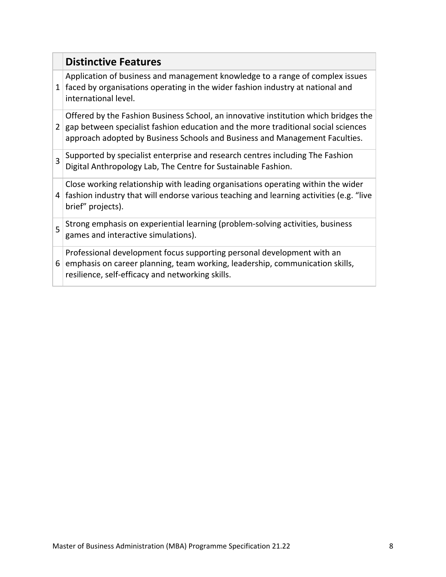|                | <b>Distinctive Features</b>                                                                                                                                                                                                                             |
|----------------|---------------------------------------------------------------------------------------------------------------------------------------------------------------------------------------------------------------------------------------------------------|
| $1\vert$       | Application of business and management knowledge to a range of complex issues<br>faced by organisations operating in the wider fashion industry at national and<br>international level.                                                                 |
| 2 <sup>1</sup> | Offered by the Fashion Business School, an innovative institution which bridges the<br>gap between specialist fashion education and the more traditional social sciences<br>approach adopted by Business Schools and Business and Management Faculties. |
| 3              | Supported by specialist enterprise and research centres including The Fashion<br>Digital Anthropology Lab, The Centre for Sustainable Fashion.                                                                                                          |
|                | Close working relationship with leading organisations operating within the wider<br>4 fashion industry that will endorse various teaching and learning activities (e.g. "live<br>brief" projects).                                                      |
| 5              | Strong emphasis on experiential learning (problem-solving activities, business<br>games and interactive simulations).                                                                                                                                   |
| 6 <sup>1</sup> | Professional development focus supporting personal development with an<br>emphasis on career planning, team working, leadership, communication skills,<br>resilience, self-efficacy and networking skills.                                              |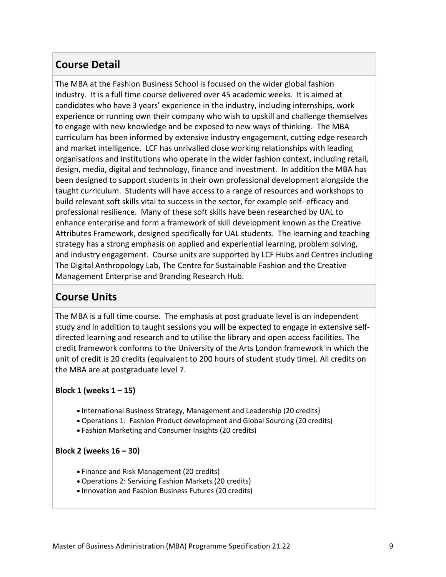## **Course Detail**

The MBA at the Fashion Business School is focused on the wider global fashion industry. It is a full time course delivered over 45 academic weeks. It is aimed at candidates who have 3 years' experience in the industry, including internships, work experience or running own their company who wish to upskill and challenge themselves to engage with new knowledge and be exposed to new ways of thinking. The MBA curriculum has been informed by extensive industry engagement, cutting edge research and market intelligence. LCF has unrivalled close working relationships with leading organisations and institutions who operate in the wider fashion context, including retail, design, media, digital and technology, finance and investment. In addition the MBA has been designed to support students in their own professional development alongside the taught curriculum. Students will have access to a range of resources and workshops to build relevant soft skills vital to success in the sector, for example self- efficacy and professional resilience. Many of these soft skills have been researched by UAL to enhance enterprise and form a framework of skill development known as the Creative Attributes Framework, designed specifically for UAL students. The learning and teaching strategy has a strong emphasis on applied and experiential learning, problem solving, and industry engagement. Course units are supported by LCF Hubs and Centres including The Digital Anthropology Lab, The Centre for Sustainable Fashion and the Creative Management Enterprise and Branding Research Hub.

## **Course Units**

The MBA is a full time course. The emphasis at post graduate level is on independent study and in addition to taught sessions you will be expected to engage in extensive selfdirected learning and research and to utilise the library and open access facilities. The credit framework conforms to the University of the Arts London framework in which the unit of credit is 20 credits (equivalent to 200 hours of student study time). All credits on the MBA are at postgraduate level 7.

#### **Block 1 (weeks 1 – 15)**

- International Business Strategy, Management and Leadership (20 credits)
- Operations 1: Fashion Product development and Global Sourcing (20 credits)
- Fashion Marketing and Consumer Insights (20 credits)

#### **Block 2 (weeks 16 – 30)**

- Finance and Risk Management (20 credits)
- Operations 2: Servicing Fashion Markets (20 credits)
- Innovation and Fashion Business Futures (20 credits)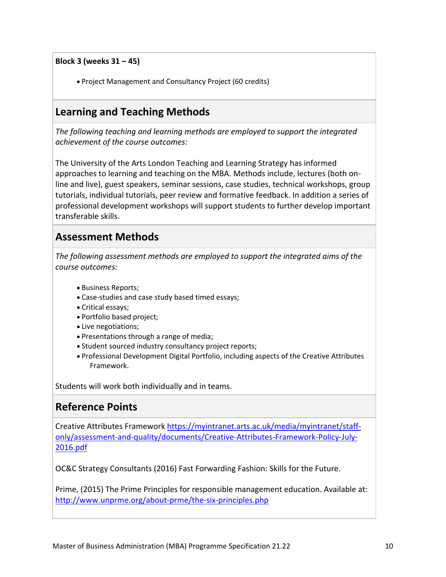**Block 3 (weeks 31 – 45)**

Project Management and Consultancy Project (60 credits)

## **Learning and Teaching Methods**

*The following teaching and learning methods are employed to support the integrated achievement of the course outcomes:*

The University of the Arts London Teaching and Learning Strategy has informed approaches to learning and teaching on the MBA. Methods include, lectures (both online and live), guest speakers, seminar sessions, case studies, technical workshops, group tutorials, individual tutorials, peer review and formative feedback. In addition a series of professional development workshops will support students to further develop important transferable skills.

### **Assessment Methods**

*The following assessment methods are employed to support the integrated aims of the course outcomes:*

- Business Reports;
- Case-studies and case study based timed essays;
- Critical essays;
- Portfolio based project;
- Live negotiations;
- Presentations through a range of media;
- Student sourced industry consultancy project reports;
- Professional Development Digital Portfolio, including aspects of the Creative Attributes Framework.

Students will work both individually and in teams.

### **Reference Points**

Creative Attributes Framework [https://myintranet.arts.ac.uk/media/myintranet/staff](https://myintranet.arts.ac.uk/media/myintranet/staff-only/assessment-and-quality/documents/Creative-Attributes-Framework-Policy-July-2016.pdf)[only/assessment-and-quality/documents/Creative-Attributes-Framework-Policy-July-](https://myintranet.arts.ac.uk/media/myintranet/staff-only/assessment-and-quality/documents/Creative-Attributes-Framework-Policy-July-2016.pdf)[2016.pdf](https://myintranet.arts.ac.uk/media/myintranet/staff-only/assessment-and-quality/documents/Creative-Attributes-Framework-Policy-July-2016.pdf)

OC&C Strategy Consultants (2016) Fast Forwarding Fashion: Skills for the Future.

Prime, (2015) The Prime Principles for responsible management education. Available at: <http://www.unprme.org/about-prme/the-six-principles.php>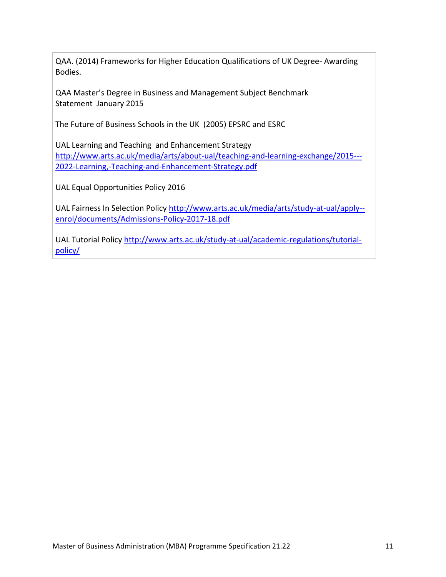QAA. (2014) Frameworks for Higher Education Qualifications of UK Degree- Awarding Bodies.

QAA Master's Degree in Business and Management Subject Benchmark Statement January 2015

The Future of Business Schools in the UK (2005) EPSRC and ESRC

UAL Learning and Teaching and Enhancement Strategy [http://www.arts.ac.uk/media/arts/about-ual/teaching-and-learning-exchange/2015---](http://www.arts.ac.uk/media/arts/about-ual/teaching-and-learning-exchange/2015---2022-Learning,-Teaching-and-Enhancement-Strategy.pdf) [2022-Learning,-Teaching-and-Enhancement-Strategy.pdf](http://www.arts.ac.uk/media/arts/about-ual/teaching-and-learning-exchange/2015---2022-Learning,-Teaching-and-Enhancement-Strategy.pdf)

UAL Equal Opportunities Policy 2016

UAL Fairness In Selection Policy [http://www.arts.ac.uk/media/arts/study-at-ual/apply-](http://www.arts.ac.uk/media/arts/study-at-ual/apply--enrol/documents/Admissions-Policy-2017-18.pdf) [enrol/documents/Admissions-Policy-2017-18.pdf](http://www.arts.ac.uk/media/arts/study-at-ual/apply--enrol/documents/Admissions-Policy-2017-18.pdf)

UAL Tutorial Policy [http://www.arts.ac.uk/study-at-ual/academic-regulations/tutorial](http://www.arts.ac.uk/study-at-ual/academic-regulations/tutorial-policy/)[policy/](http://www.arts.ac.uk/study-at-ual/academic-regulations/tutorial-policy/)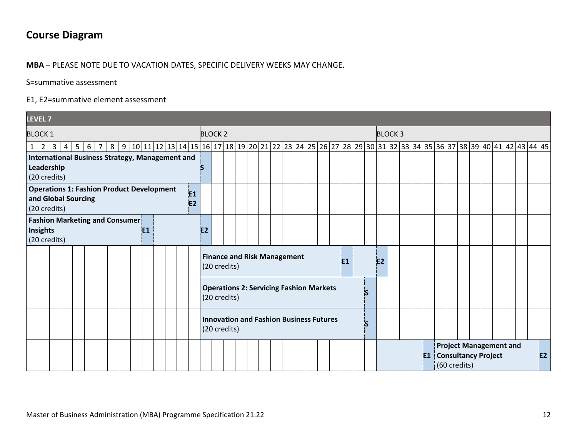## **Course Diagram**

#### **MBA** – PLEASE NOTE DUE TO VACATION DATES, SPECIFIC DELIVERY WEEKS MAY CHANGE.

S=summative assessment

#### E1, E2=summative element assessment

| LEVEL <sub>7</sub> |  |
|--------------------|--|
|--------------------|--|

| LEVEL /                                                                                                                     |                                                                                                                                                                                                                                |                                                                                                  |
|-----------------------------------------------------------------------------------------------------------------------------|--------------------------------------------------------------------------------------------------------------------------------------------------------------------------------------------------------------------------------|--------------------------------------------------------------------------------------------------|
| <b>BLOCK 1</b>                                                                                                              | <b>BLOCK 2</b><br><b>BLOCK3</b>                                                                                                                                                                                                |                                                                                                  |
| $1 \mid 2 \mid 3 \mid$<br>5 <sup>1</sup><br>8<br>6<br>$\overline{7}$<br>$\overline{4}$                                      | 9 0 42 44 42 44 45 44 45 35 34 35 34 35 34 35 34 35 34 35 34 35 34 35 35 39 40 41 42 43 44 45 35 36 37 38 39 40 5 35 36 37 38 39 40 5 35 36 37 38 39 40 5 35 36 37 38 39 40 5 35 36 37 38 39 40 5 36 37 38 39 40 5 36 37 38 39 |                                                                                                  |
| International Business Strategy, Management and                                                                             |                                                                                                                                                                                                                                |                                                                                                  |
| Leadership                                                                                                                  |                                                                                                                                                                                                                                |                                                                                                  |
| (20 credits)                                                                                                                |                                                                                                                                                                                                                                |                                                                                                  |
| <b>Operations 1: Fashion Product Development</b><br>E <sub>1</sub><br>and Global Sourcing<br>E <sub>2</sub><br>(20 credits) |                                                                                                                                                                                                                                |                                                                                                  |
| <b>Fashion Marketing and Consumer</b><br>Insights<br>E <sub>1</sub><br>(20 credits)                                         | E <sub>2</sub>                                                                                                                                                                                                                 |                                                                                                  |
|                                                                                                                             | <b>Finance and Risk Management</b><br>E <sub>2</sub><br>E <sub>1</sub><br>(20 credits)                                                                                                                                         |                                                                                                  |
|                                                                                                                             | <b>Operations 2: Servicing Fashion Markets</b><br>S<br>(20 credits)                                                                                                                                                            |                                                                                                  |
|                                                                                                                             | <b>Innovation and Fashion Business Futures</b><br>ς<br>(20 credits)                                                                                                                                                            |                                                                                                  |
|                                                                                                                             |                                                                                                                                                                                                                                | <b>Project Management and</b><br><b>E1 Consultancy Project</b><br>E <sub>2</sub><br>(60 credits) |